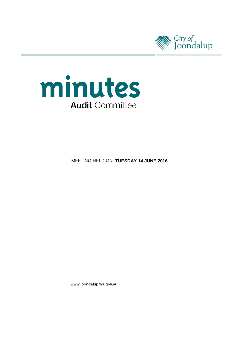



**MEETING HELD ON TUESDAY 14 JUNE 2016** 

www.joondalup.wa.gov.au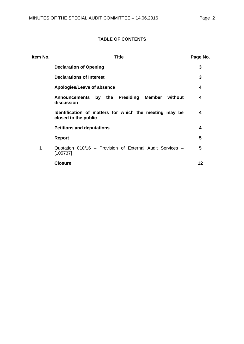# **TABLE OF CONTENTS**

| Item No. | <b>Title</b>                                                                   | Page No. |
|----------|--------------------------------------------------------------------------------|----------|
|          | <b>Declaration of Opening</b>                                                  | 3        |
|          | <b>Declarations of Interest</b>                                                | 3        |
|          | Apologies/Leave of absence                                                     | 4        |
|          | Announcements by the Presiding Member<br>without<br>discussion                 | 4        |
|          | Identification of matters for which the meeting may be<br>closed to the public | 4        |
|          | <b>Petitions and deputations</b>                                               | 4        |
|          | <b>Report</b>                                                                  | 5        |
| 1        | Quotation 010/16 - Provision of External Audit Services -<br>[105737]          | 5        |
|          | <b>Closure</b>                                                                 | 12       |
|          |                                                                                |          |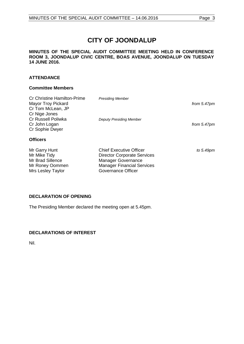# **CITY OF JOONDALUP**

#### **MINUTES OF THE SPECIAL AUDIT COMMITTEE MEETING HELD IN CONFERENCE ROOM 3, JOONDALUP CIVIC CENTRE, BOAS AVENUE, JOONDALUP ON TUESDAY 14 JUNE 2016.**

# **ATTENDANCE**

# **Committee Members**

| <b>Cr Christine Hamilton-Prime</b><br><b>Mayor Troy Pickard</b><br>Cr Tom McLean, JP<br>Cr Nige Jones | <b>Presiding Member</b>                                                                                                                                      | from 5.47pm |
|-------------------------------------------------------------------------------------------------------|--------------------------------------------------------------------------------------------------------------------------------------------------------------|-------------|
| <b>Cr Russell Poliwka</b><br>Cr John Logan<br>Cr Sophie Dwyer                                         | <b>Deputy Presiding Member</b>                                                                                                                               | from 5.47pm |
| <b>Officers</b>                                                                                       |                                                                                                                                                              |             |
| Mr Garry Hunt<br>Mr Mike Tidy<br>Mr Brad Sillence<br>Mr Roney Oommen<br>Mrs Lesley Taylor             | <b>Chief Executive Officer</b><br><b>Director Corporate Services</b><br><b>Manager Governance</b><br><b>Manager Financial Services</b><br>Governance Officer | to 5.49pm   |

# <span id="page-2-0"></span>**DECLARATION OF OPENING**

The Presiding Member declared the meeting open at 5.45pm.

# <span id="page-2-1"></span>**DECLARATIONS OF INTEREST**

Nil.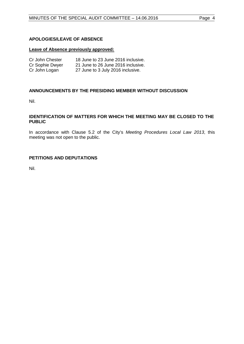### <span id="page-3-0"></span>**APOLOGIES/LEAVE OF ABSENCE**

#### **Leave of Absence previously approved:**

| Cr John Chester | 18 June to 23 June 2016 inclusive. |
|-----------------|------------------------------------|
| Cr Sophie Dwyer | 21 June to 26 June 2016 inclusive. |
| Cr John Logan   | 27 June to 3 July 2016 inclusive.  |

#### <span id="page-3-1"></span>**ANNOUNCEMENTS BY THE PRESIDING MEMBER WITHOUT DISCUSSION**

Nil.

#### <span id="page-3-2"></span>**IDENTIFICATION OF MATTERS FOR WHICH THE MEETING MAY BE CLOSED TO THE PUBLIC**

In accordance with Clause 5.2 of the City's *Meeting Procedures Local Law 2013*, this meeting was not open to the public.

# <span id="page-3-3"></span>**PETITIONS AND DEPUTATIONS**

Nil.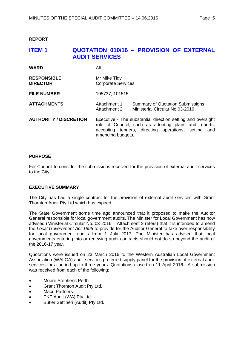<span id="page-4-0"></span>**REPORT**

# <span id="page-4-1"></span>**ITEM 1 QUOTATION 010/16 – PROVISION OF EXTERNAL AUDIT SERVICES**

| <b>WARD</b>                           | Αll                                                                                                                                                                                              |                                                                            |
|---------------------------------------|--------------------------------------------------------------------------------------------------------------------------------------------------------------------------------------------------|----------------------------------------------------------------------------|
| <b>RESPONSIBLE</b><br><b>DIRECTOR</b> | Mr Mike Tidy<br><b>Corporate Services</b>                                                                                                                                                        |                                                                            |
| <b>FILE NUMBER</b>                    | 105737, 101515                                                                                                                                                                                   |                                                                            |
| <b>ATTACHMENTS</b>                    | Attachment 1<br>Attachment 2                                                                                                                                                                     | <b>Summary of Quotation Submissions</b><br>Ministerial Circular No 03-2016 |
| <b>AUTHORITY / DISCRETION</b>         | Executive - The substantial direction setting and oversight<br>role of Council, such as adopting plans and reports,<br>accepting tenders, directing operations, setting and<br>amending budgets. |                                                                            |

#### **PURPOSE**

For Council to consider the submissions received for the provision of external audit services to the City.

#### **EXECUTIVE SUMMARY**

The City has had a single contract for the provision of external audit services with Grant Thornton Audit Pty Ltd which has expired.

The State Government some time ago announced that it proposed to make the Auditor General responsible for local government audits. The Minister for Local Government has now advised (Ministerial Circular No. 03-2016 – Attachment 2 refers) that it is intended to amend the *Local Government Act 1995* to provide for the Auditor General to take over responsibility for local government audits from 1 July 2017. The Minister has advised that local governments entering into or renewing audit contracts should not do so beyond the audit of the 2016-17 year.

Quotations were issued on 23 March 2016 to the Western Australian Local Government Association (WALGA) audit services preferred supply panel for the provision of external audit services for a period up to three years. Quotations closed on 11 April 2016. A submission was received from each of the following:

- Moore Stephens Perth.
- Grant Thornton Audit Pty Ltd.
- Macri Partners.
- PKF Audit (WA) Pty Ltd.
- Butler Settineri (Audit) Pty Ltd.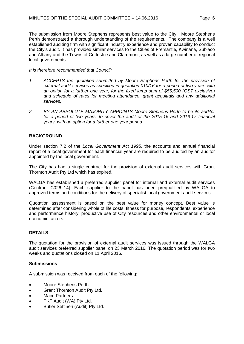The submission from Moore Stephens represents best value to the City. Moore Stephens Perth demonstrated a thorough understanding of the requirements. The company is a well established auditing firm with significant industry experience and proven capability to conduct the City's audit. It has provided similar services to the Cities of Fremantle, Kwinana, Subiaco and Albany and the Towns of Cottesloe and Claremont, as well as a large number of regional local governments.

#### *It is therefore recommended that Council:*

- *1 ACCEPTS the quotation submitted by Moore Stephens Perth for the provision of external audit services as specified in quotation 010/16 for a period of two years with an option for a further one year, for the fixed lump sum of \$55,500 (GST exclusive) and schedule of rates for meeting attendance, grant acquittals and any additional services;*
- *2 BY AN ABSOLUTE MAJORITY APPOINTS Moore Stephens Perth to be its auditor for a period of two years, to cover the audit of the 2015-16 and 2016-17 financial years, with an option for a further one year period.*

# **BACKGROUND**

Under section 7.2 of the *Local Government Act 1995*, the accounts and annual financial report of a local government for each financial year are required to be audited by an auditor appointed by the local government.

The City has had a single contract for the provision of external audit services with Grant Thornton Audit Pty Ltd which has expired.

WALGA has established a preferred supplier panel for internal and external audit services (Contract C026\_14). Each supplier to the panel has been prequalified by WALGA to approved terms and conditions for the delivery of specialist local government audit services.

Quotation assessment is based on the best value for money concept. Best value is determined after considering whole of life costs, fitness for purpose, respondents' experience and performance history, productive use of City resources and other environmental or local economic factors.

# **DETAILS**

The quotation for the provision of external audit services was issued through the WALGA audit services preferred supplier panel on 23 March 2016. The quotation period was for two weeks and quotations closed on 11 April 2016.

#### **Submissions**

A submission was received from each of the following:

- Moore Stephens Perth.
- Grant Thornton Audit Pty Ltd.
- Macri Partners.
- PKF Audit (WA) Pty Ltd.
- Butler Settineri (Audit) Pty Ltd.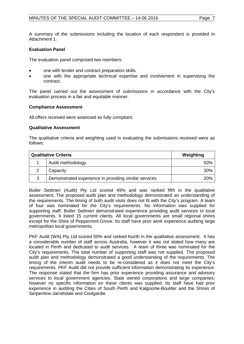A summary of the submissions including the location of each respondent is provided in Attachment 1.

### **Evaluation Panel**

The evaluation panel comprised two members:

- one with tender and contract preparation skills.
- one with the appropriate technical expertise and involvement in supervising the contract.

The panel carried out the assessment of submissions in accordance with the City's evaluation process in a fair and equitable manner.

#### **Compliance Assessment**

All offers received were assessed as fully compliant.

#### **Qualitative Assessment**

The qualitative criteria and weighting used in evaluating the submissions received were as follows:

| <b>Qualitative Criteria</b> |                                                       | Weighting |
|-----------------------------|-------------------------------------------------------|-----------|
|                             | Audit methodology                                     | 50%       |
|                             | Capacity                                              | 30%       |
| 3                           | Demonstrated experience in providing similar services | 20%       |

Butler Settineri (Audit) Pty Ltd scored 49% and was ranked fifth in the qualitative assessment. The proposed audit plan and methodology demonstrated an understanding of the requirements. The timing of both audit visits does not fit with the City's program. A team of four was nominated for the City's requirements. No information was supplied for supporting staff. Butler Settineri demonstrated experience providing audit services to local governments. It listed 15 current clients. All local governments are small regional shires except for the Shire of Peppermint Grove. Its staff have prior work experience auditing large metropolitan local governments.

PKF Audit (WA) Pty Ltd scored 50% and ranked fourth in the qualitative assessment. It has a considerable number of staff across Australia, however it was not stated how many are located in Perth and dedicated to audit services. A team of three was nominated for the City's requirements. The total number of supporting staff was not supplied. The proposed audit plan and methodology demonstrated a good understanding of the requirements. The timing of the interim audit needs to be re-considered as it does not meet the City's requirements. PKF Audit did not provide sufficient information demonstrating its experience. The response stated that the firm has prior experience providing assurance and advisory services to local government agencies, State owned corporations and large companies; however no specific information on these clients was supplied. Its staff have had prior experience in auditing the Cities of South Perth and Kalgoorlie-Boulder and the Shires of Serpentine-Jarrahdale and Coolgardie.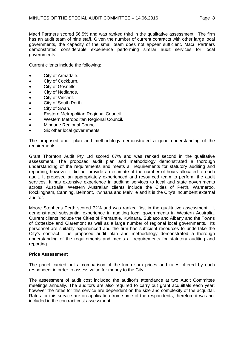Macri Partners scored 56.5% and was ranked third in the qualitative assessment. The firm has an audit team of nine staff. Given the number of current contracts with other large local governments, the capacity of the small team does not appear sufficient. Macri Partners demonstrated considerable experience performing similar audit services for local governments.

Current clients include the following:

- City of Armadale.
- City of Cockburn.
- City of Gosnells.
- City of Nedlands.
- City of Vincent.
- City of South Perth.
- City of Swan.
- Eastern Metropolitan Regional Council.
- Western Metropolitan Regional Council.
- Mindarie Regional Council.
- Six other local governments.

The proposed audit plan and methodology demonstrated a good understanding of the requirements.

Grant Thornton Audit Pty Ltd scored 67% and was ranked second in the qualitative assessment. The proposed audit plan and methodology demonstrated a thorough understanding of the requirements and meets all requirements for statutory auditing and reporting; however it did not provide an estimate of the number of hours allocated to each audit. It proposed an appropriately experienced and resourced team to perform the audit services. It has extensive experience in auditing services to local and state governments across Australia. Western Australian clients include the Cities of Perth, Wanneroo, Rockingham, Canning, Belmont, Kwinana and Melville and it is the City's incumbent external auditor.

Moore Stephens Perth scored 72% and was ranked first in the qualitative assessment. It demonstrated substantial experience in auditing local governments in Western Australia. Current clients include the Cities of Fremantle, Kwinana, Subiaco and Albany and the Towns of Cottesloe and Claremont as well as a large number of regional local governments. Its personnel are suitably experienced and the firm has sufficient resources to undertake the City's contract. The proposed audit plan and methodology demonstrated a thorough understanding of the requirements and meets all requirements for statutory auditing and reporting.

#### **Price Assessment**

The panel carried out a comparison of the lump sum prices and rates offered by each respondent in order to assess value for money to the City.

The assessment of audit cost included the auditor's attendance at two Audit Committee meetings annually. The auditors are also required to carry out grant acquittals each year; however the rates for this service are dependent on the size and complexity of the acquittal. Rates for this service are on application from some of the respondents, therefore it was not included in the contract cost assessment.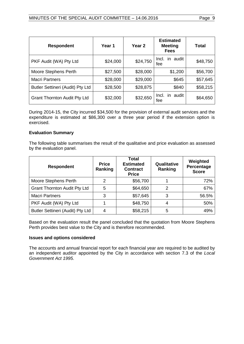| <b>Respondent</b>                   | Year 1   | Year <sub>2</sub> | <b>Estimated</b><br><b>Meeting</b><br><b>Fees</b> | Total    |
|-------------------------------------|----------|-------------------|---------------------------------------------------|----------|
| PKF Audit (WA) Pty Ltd              | \$24,000 | \$24,750          | Incl.<br>in audit<br>fee                          | \$48,750 |
| Moore Stephens Perth                | \$27,500 | \$28,000          | \$1,200                                           | \$56,700 |
| <b>Macri Partners</b>               | \$28,000 | \$29,000          | \$645                                             | \$57,645 |
| Butler Settineri (Audit) Pty Ltd    | \$28,500 | \$28,875          | \$840                                             | \$58,215 |
| <b>Grant Thornton Audit Pty Ltd</b> | \$32,000 | \$32,650          | audit<br>Incl.<br>in.<br>fee                      | \$64,650 |

During 2014-15, the City incurred \$34,500 for the provision of external audit services and the expenditure is estimated at \$86,300 over a three year period if the extension option is exercised.

#### **Evaluation Summary**

The following table summarises the result of the qualitative and price evaluation as assessed by the evaluation panel.

| <b>Respondent</b>                   | <b>Price</b><br>Ranking | Total<br><b>Estimated</b><br><b>Contract</b><br><b>Price</b> | Qualitative<br>Ranking | Weighted<br>Percentage<br><b>Score</b> |
|-------------------------------------|-------------------------|--------------------------------------------------------------|------------------------|----------------------------------------|
| Moore Stephens Perth                | 2                       | \$56,700                                                     |                        | 72%                                    |
| <b>Grant Thornton Audit Pty Ltd</b> | 5                       | \$64,650                                                     | 2                      | 67%                                    |
| <b>Macri Partners</b>               | 3                       | \$57,645                                                     | 3                      | 56.5%                                  |
| PKF Audit (WA) Pty Ltd              |                         | \$48,750                                                     |                        | 50%                                    |
| Butler Settineri (Audit) Pty Ltd    |                         | \$58,215                                                     | 5                      | 49%                                    |

Based on the evaluation result the panel concluded that the quotation from Moore Stephens Perth provides best value to the City and is therefore recommended.

#### **Issues and options considered**

The accounts and annual financial report for each financial year are required to be audited by an independent auditor appointed by the City in accordance with section 7.3 of the *Local Government Act 1995*.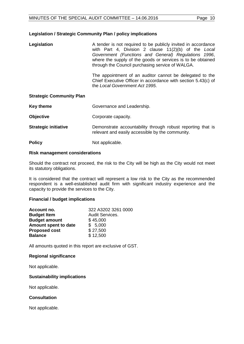#### **Legislation / Strategic Community Plan / policy implications**

| Legislation | A tender is not required to be publicly invited in accordance |
|-------------|---------------------------------------------------------------|
|             | with Part 4, Division 2 clause 11(2)(b) of the Local          |
|             | Government (Functions and General) Regulations 1996,          |
|             | where the supply of the goods or services is to be obtained   |
|             | through the Council purchasing service of WALGA.              |

The appointment of an auditor cannot be delegated to the Chief Executive Officer in accordance with section 5.43(c) of the *Local Government Act 1995*.

#### **Strategic Community Plan**

| <b>Key theme</b>            | Governance and Leadership.                                                                                      |
|-----------------------------|-----------------------------------------------------------------------------------------------------------------|
| <b>Objective</b>            | Corporate capacity.                                                                                             |
| <b>Strategic initiative</b> | Demonstrate accountability through robust reporting that is<br>relevant and easily accessible by the community. |
| <b>Policy</b>               | Not applicable.                                                                                                 |

#### **Risk management considerations**

Should the contract not proceed, the risk to the City will be high as the City would not meet its statutory obligations.

It is considered that the contract will represent a low risk to the City as the recommended respondent is a well-established audit firm with significant industry experience and the capacity to provide the services to the City.

#### **Financial / budget implications**

| Account no.          | 322 A3202 3261 0000 |
|----------------------|---------------------|
| <b>Budget Item</b>   | Audit Services.     |
| <b>Budget amount</b> | \$45,000            |
| Amount spent to date | \$5,000             |
| <b>Proposed cost</b> | \$27,500            |
| <b>Balance</b>       | \$12,500            |

All amounts quoted in this report are exclusive of GST.

#### **Regional significance**

Not applicable.

#### **Sustainability implications**

Not applicable.

#### **Consultation**

Not applicable.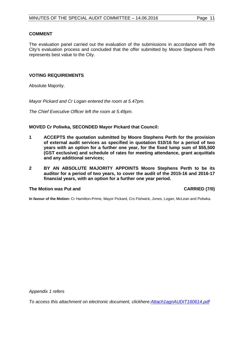#### **COMMENT**

The evaluation panel carried out the evaluation of the submissions in accordance with the City's evaluation process and concluded that the offer submitted by Moore Stephens Perth represents best value to the City.

#### **VOTING REQUIREMENTS**

Absolute Majority.

*Mayor Pickard and Cr Logan entered the room at 5.47pm.*

*The Chief Executive Officer left the room at 5.49pm.*

#### **MOVED Cr Poliwka, SECONDED Mayor Pickard that Council:**

- **1 ACCEPTS the quotation submitted by Moore Stephens Perth for the provision of external audit services as specified in quotation 010/16 for a period of two years with an option for a further one year, for the fixed lump sum of \$55,500 (GST exclusive) and schedule of rates for meeting attendance, grant acquittals and any additional services;**
- **2 BY AN ABSOLUTE MAJORITY APPOINTS Moore Stephens Perth to be its auditor for a period of two years, to cover the audit of the 2015-16 and 2016-17 financial years, with an option for a further one year period.**

#### **The Motion was Put and CARRIED (7/0)**

**In favour of the Motion:** Cr Hamilton-Prime, Mayor Pickard, Crs Fishwick, Jones, Logan, McLean and Poliwka.

*Appendix 1 refers*

*[To access this attachment on electronic document, clickhere:Attach1agnAUDIT160614.pdf](http://www.joondalup.wa.gov.au/files/committees/AUDT/2016/Attach1agnAUDIT160614.pdf)*